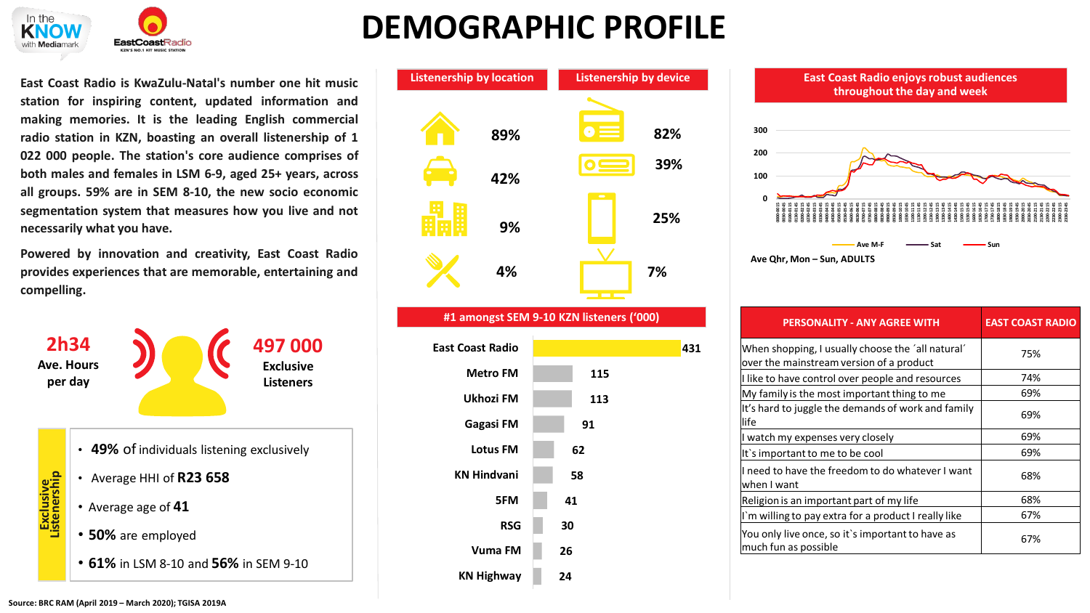

## **DEMOGRAPHIC PROFILE**

**East Coast Radio is KwaZulu-Natal's number one hit music station for inspiring content, updated information and making memories. It is the leading English commercial radio station in KZN, boasting an overall listenership of 1 022 000 people. The station's core audience comprises of both males and females in LSM 6-9, aged 25+ years, across all groups. 59% are in SEM 8-10, the new socio economic segmentation system that measures how you live and not necessarily what you have.**

**Powered by innovation and creativity, East Coast Radio provides experiences that are memorable, entertaining and compelling.**





## **431 115 113 91 62 58 41 30 26 24 East Coast Radio Metro FM Ukhozi FM Gagasi FM Lotus FM KN Hindvani 5FM RSG Vuma FM KN Highway**



| <b>PERSONALITY - ANY AGREE WITH</b>                                                           | <b>EAST COAST RADIO</b> |
|-----------------------------------------------------------------------------------------------|-------------------------|
| When shopping, I usually choose the 'all natural'<br>over the mainstream version of a product | 75%                     |
| I like to have control over people and resources                                              | 74%                     |
| My family is the most important thing to me                                                   | 69%                     |
| It's hard to juggle the demands of work and family<br>life                                    | 69%                     |
| I watch my expenses very closely                                                              | 69%                     |
| It's important to me to be cool                                                               | 69%                     |
| I need to have the freedom to do whatever I want<br>when I want                               | 68%                     |
| Religion is an important part of my life                                                      | 68%                     |
| I'm willing to pay extra for a product I really like                                          | 67%                     |
| You only live once, so it's important to have as<br>much fun as possible                      | 67%                     |

## **Source: BRC RAM (April 2019 – March 2020); TGISA 2019A**